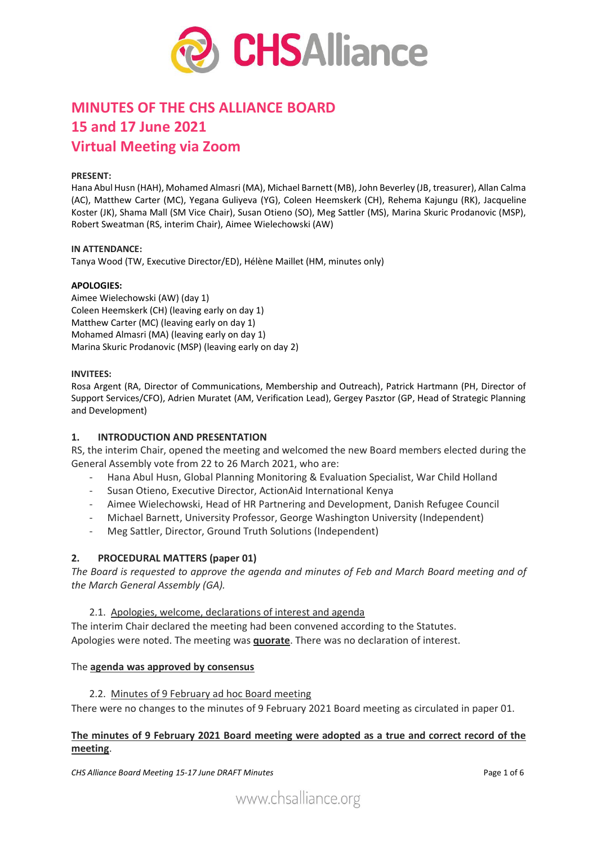

# **MINUTES OF THE CHS ALLIANCE BOARD 15 and 17 June 2021 Virtual Meeting via Zoom**

#### **PRESENT:**

Hana Abul Husn (HAH), Mohamed Almasri (MA), Michael Barnett (MB), John Beverley (JB, treasurer), Allan Calma (AC), Matthew Carter (MC), Yegana Guliyeva (YG), Coleen Heemskerk (CH), Rehema Kajungu (RK), Jacqueline Koster (JK), Shama Mall (SM Vice Chair), Susan Otieno (SO), Meg Sattler (MS), Marina Skuric Prodanovic (MSP), Robert Sweatman (RS, interim Chair), Aimee Wielechowski (AW)

#### **IN ATTENDANCE:**

Tanya Wood (TW, Executive Director/ED), Hélène Maillet (HM, minutes only)

#### **APOLOGIES:**

Aimee Wielechowski (AW) (day 1) Coleen Heemskerk (CH) (leaving early on day 1) Matthew Carter (MC) (leaving early on day 1) Mohamed Almasri (MA) (leaving early on day 1) Marina Skuric Prodanovic (MSP) (leaving early on day 2)

#### **INVITEES:**

Rosa Argent (RA, Director of Communications, Membership and Outreach), Patrick Hartmann (PH, Director of Support Services/CFO), Adrien Muratet (AM, Verification Lead), Gergey Pasztor (GP, Head of Strategic Planning and Development)

#### **1. INTRODUCTION AND PRESENTATION**

RS, the interim Chair, opened the meeting and welcomed the new Board members elected during the General Assembly vote from 22 to 26 March 2021, who are:

- Hana Abul Husn, Global Planning Monitoring & Evaluation Specialist, War Child Holland
- Susan Otieno, Executive Director, ActionAid International Kenya
- Aimee Wielechowski, Head of HR Partnering and Development, Danish Refugee Council
- Michael Barnett, University Professor, George Washington University (Independent)
- Meg Sattler, Director, Ground Truth Solutions (Independent)

#### **2. PROCEDURAL MATTERS (paper 01)**

*The Board is requested to approve the agenda and minutes of Feb and March Board meeting and of the March General Assembly (GA).*

2.1. Apologies, welcome, declarations of interest and agenda

The interim Chair declared the meeting had been convened according to the Statutes. Apologies were noted. The meeting was **quorate**. There was no declaration of interest.

#### The **agenda was approved by consensus**

2.2. Minutes of 9 February ad hoc Board meeting

There were no changes to the minutes of 9 February 2021 Board meeting as circulated in paper 01.

## **The minutes of 9 February 2021 Board meeting were adopted as a true and correct record of the meeting**.

*CHS Alliance Board Meeting 15-17 June DRAFT Minutes* Page 1 of 6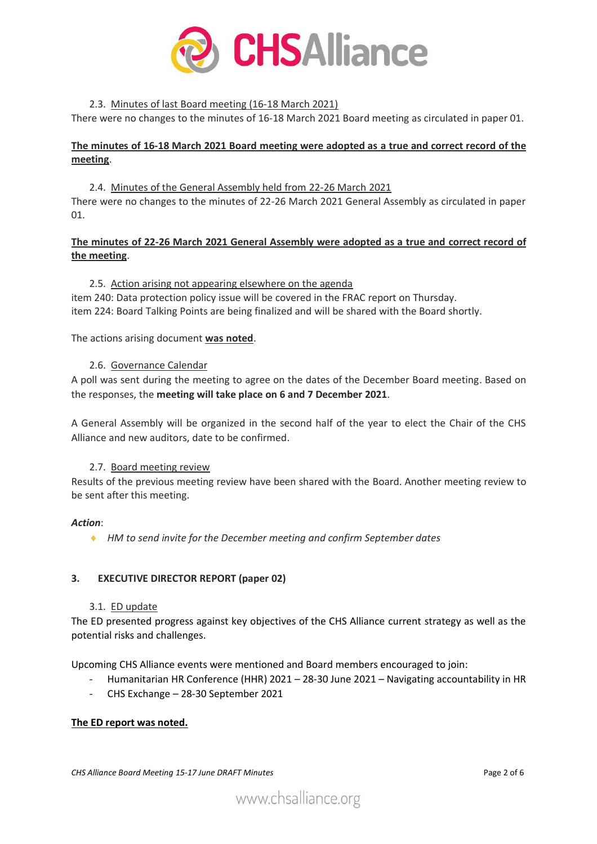

## 2.3. Minutes of last Board meeting (16-18 March 2021)

There were no changes to the minutes of 16-18 March 2021 Board meeting as circulated in paper 01.

# **The minutes of 16-18 March 2021 Board meeting were adopted as a true and correct record of the meeting**.

2.4. Minutes of the General Assembly held from 22-26 March 2021 There were no changes to the minutes of 22-26 March 2021 General Assembly as circulated in paper 01.

## **The minutes of 22-26 March 2021 General Assembly were adopted as a true and correct record of the meeting**.

#### 2.5. Action arising not appearing elsewhere on the agenda

item 240: Data protection policy issue will be covered in the FRAC report on Thursday. item 224: Board Talking Points are being finalized and will be shared with the Board shortly.

The actions arising document **was noted**.

## 2.6. Governance Calendar

A poll was sent during the meeting to agree on the dates of the December Board meeting. Based on the responses, the **meeting will take place on 6 and 7 December 2021**.

A General Assembly will be organized in the second half of the year to elect the Chair of the CHS Alliance and new auditors, date to be confirmed.

#### 2.7. Board meeting review

Results of the previous meeting review have been shared with the Board. Another meeting review to be sent after this meeting.

#### *Action*:

*HM to send invite for the December meeting and confirm September dates*

# **3. EXECUTIVE DIRECTOR REPORT (paper 02)**

#### 3.1. ED update

The ED presented progress against key objectives of the CHS Alliance current strategy as well as the potential risks and challenges.

Upcoming CHS Alliance events were mentioned and Board members encouraged to join:

- Humanitarian HR Conference (HHR) 2021 28-30 June 2021 Navigating accountability in HR
- CHS Exchange 28-30 September 2021

#### **The ED report was noted.**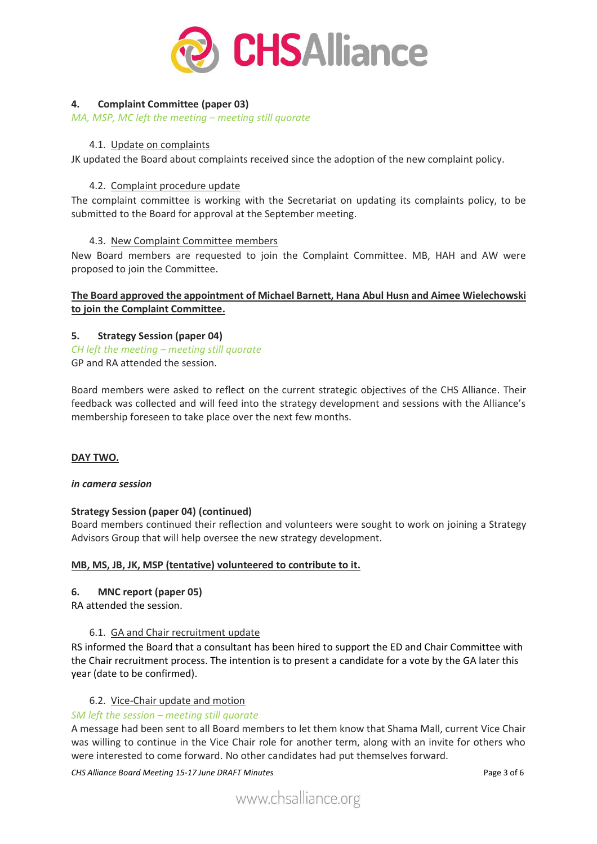

# **4. Complaint Committee (paper 03)**

*MA, MSP, MC left the meeting – meeting still quorate*

## 4.1. Update on complaints

JK updated the Board about complaints received since the adoption of the new complaint policy.

## 4.2. Complaint procedure update

The complaint committee is working with the Secretariat on updating its complaints policy, to be submitted to the Board for approval at the September meeting.

## 4.3. New Complaint Committee members

New Board members are requested to join the Complaint Committee. MB, HAH and AW were proposed to join the Committee.

## **The Board approved the appointment of Michael Barnett, Hana Abul Husn and Aimee Wielechowski to join the Complaint Committee.**

## **5. Strategy Session (paper 04)**

*CH left the meeting – meeting still quorate* GP and RA attended the session.

Board members were asked to reflect on the current strategic objectives of the CHS Alliance. Their feedback was collected and will feed into the strategy development and sessions with the Alliance's membership foreseen to take place over the next few months.

# **DAY TWO.**

#### *in camera session*

# **Strategy Session (paper 04) (continued)**

Board members continued their reflection and volunteers were sought to work on joining a Strategy Advisors Group that will help oversee the new strategy development.

#### **MB, MS, JB, JK, MSP (tentative) volunteered to contribute to it.**

# **6. MNC report (paper 05)**

RA attended the session.

# 6.1. GA and Chair recruitment update

RS informed the Board that a consultant has been hired to support the ED and Chair Committee with the Chair recruitment process. The intention is to present a candidate for a vote by the GA later this year (date to be confirmed).

#### 6.2. Vice-Chair update and motion

#### *SM left the session – meeting still quorate*

A message had been sent to all Board members to let them know that Shama Mall, current Vice Chair was willing to continue in the Vice Chair role for another term, along with an invite for others who were interested to come forward. No other candidates had put themselves forward.

*CHS Alliance Board Meeting 15-17 June DRAFT Minutes* Page 3 of 6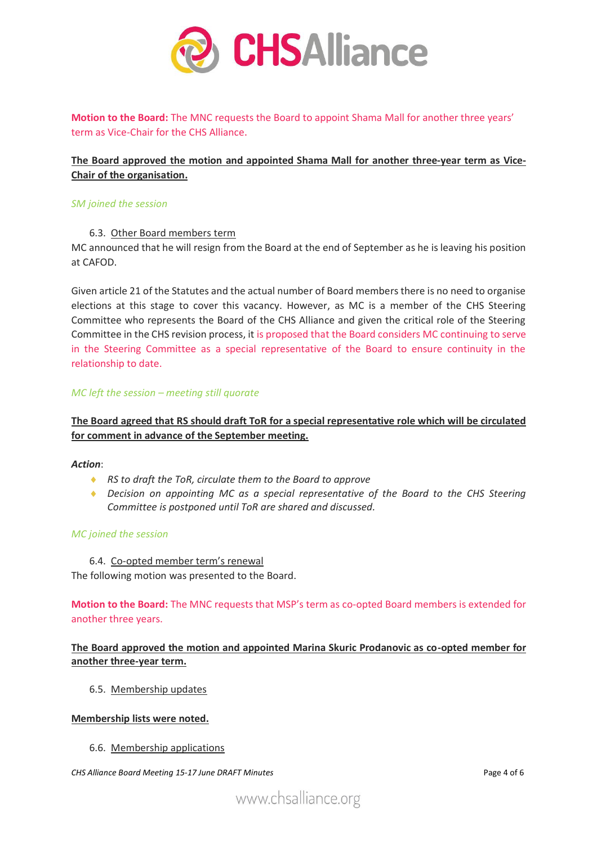

**Motion to the Board:** The MNC requests the Board to appoint Shama Mall for another three years' term as Vice-Chair for the CHS Alliance.

# **The Board approved the motion and appointed Shama Mall for another three-year term as Vice-Chair of the organisation.**

#### *SM joined the session*

#### 6.3. Other Board members term

MC announced that he will resign from the Board at the end of September as he is leaving his position at CAFOD.

Given article 21 of the Statutes and the actual number of Board members there is no need to organise elections at this stage to cover this vacancy. However, as MC is a member of the CHS Steering Committee who represents the Board of the CHS Alliance and given the critical role of the Steering Committee in the CHS revision process, it is proposed that the Board considers MC continuing to serve in the Steering Committee as a special representative of the Board to ensure continuity in the relationship to date.

#### *MC left the session – meeting still quorate*

# **The Board agreed that RS should draft ToR for a special representative role which will be circulated for comment in advance of the September meeting.**

#### *Action*:

- *RS to draft the ToR, circulate them to the Board to approve*
- *Decision on appointing MC as a special representative of the Board to the CHS Steering Committee is postponed until ToR are shared and discussed.*

#### *MC joined the session*

6.4. Co-opted member term's renewal

The following motion was presented to the Board.

**Motion to the Board:** The MNC requests that MSP's term as co-opted Board members is extended for another three years.

## **The Board approved the motion and appointed Marina Skuric Prodanovic as co-opted member for another three-year term.**

6.5. Membership updates

#### **Membership lists were noted.**

6.6. Membership applications

*CHS Alliance Board Meeting 15-17 June DRAFT Minutes* Page 4 of 6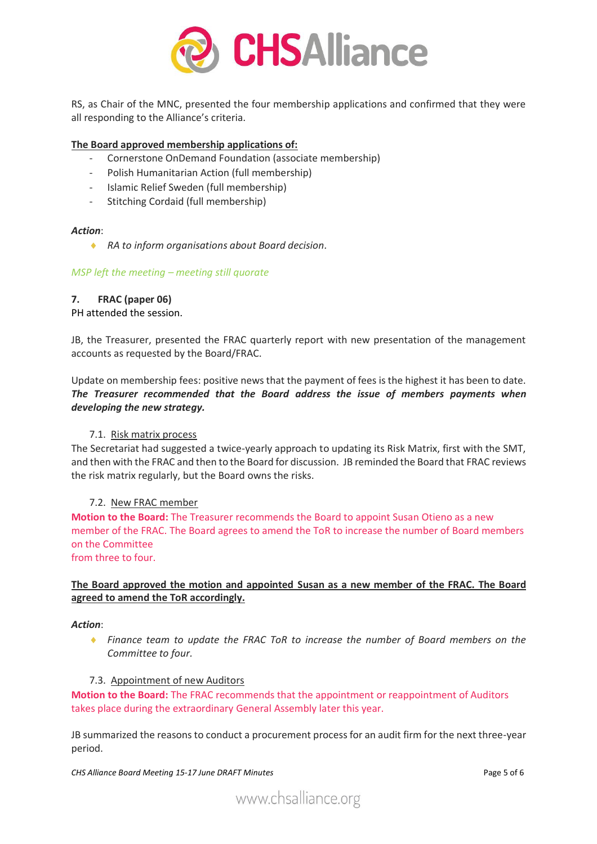

RS, as Chair of the MNC, presented the four membership applications and confirmed that they were all responding to the Alliance's criteria.

#### **The Board approved membership applications of:**

- Cornerstone OnDemand Foundation (associate membership)
- Polish Humanitarian Action (full membership)
- Islamic Relief Sweden (full membership)
- Stitching Cordaid (full membership)

#### *Action*:

*RA to inform organisations about Board decision.*

#### *MSP left the meeting – meeting still quorate*

## **7. FRAC (paper 06)**

#### PH attended the session.

JB, the Treasurer, presented the FRAC quarterly report with new presentation of the management accounts as requested by the Board/FRAC.

Update on membership fees: positive news that the payment of fees is the highest it has been to date. *The Treasurer recommended that the Board address the issue of members payments when developing the new strategy.*

#### 7.1. Risk matrix process

The Secretariat had suggested a twice-yearly approach to updating its Risk Matrix, first with the SMT, and then with the FRAC and then to the Board for discussion. JB reminded the Board that FRAC reviews the risk matrix regularly, but the Board owns the risks.

#### 7.2. New FRAC member

**Motion to the Board:** The Treasurer recommends the Board to appoint Susan Otieno as a new member of the FRAC. The Board agrees to amend the ToR to increase the number of Board members on the Committee from three to four.

## **The Board approved the motion and appointed Susan as a new member of the FRAC. The Board agreed to amend the ToR accordingly.**

#### *Action*:

 *Finance team to update the FRAC ToR to increase the number of Board members on the Committee to four.*

#### 7.3. Appointment of new Auditors

**Motion to the Board:** The FRAC recommends that the appointment or reappointment of Auditors takes place during the extraordinary General Assembly later this year.

JB summarized the reasons to conduct a procurement process for an audit firm for the next three-year period.

*CHS Alliance Board Meeting 15-17 June DRAFT Minutes* Page 5 of 6